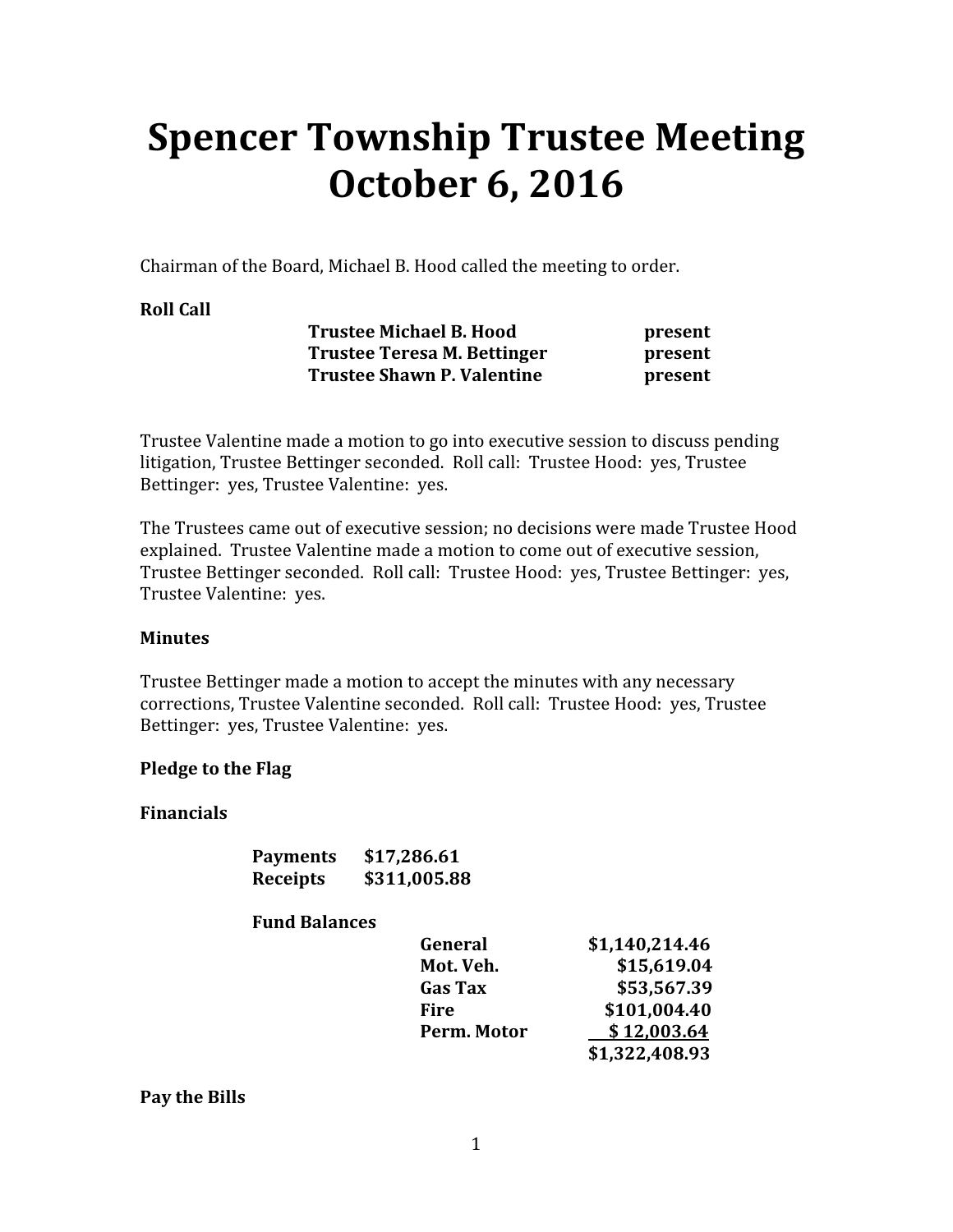# Spencer Township Trustee Meeting October 6, 2016

Chairman of the Board, Michael B. Hood called the meeting to order.

#### Roll Call

| <b>Trustee Michael B. Hood</b>    | present |
|-----------------------------------|---------|
| Trustee Teresa M. Bettinger       | present |
| <b>Trustee Shawn P. Valentine</b> | present |

Trustee Valentine made a motion to go into executive session to discuss pending litigation, Trustee Bettinger seconded. Roll call: Trustee Hood: yes, Trustee Bettinger: yes, Trustee Valentine: yes.

The Trustees came out of executive session; no decisions were made Trustee Hood explained. Trustee Valentine made a motion to come out of executive session, Trustee Bettinger seconded. Roll call: Trustee Hood: yes, Trustee Bettinger: yes, Trustee Valentine: yes.

#### **Minutes**

Trustee Bettinger made a motion to accept the minutes with any necessary corrections, Trustee Valentine seconded. Roll call: Trustee Hood: yes, Trustee Bettinger: yes, Trustee Valentine: yes.

#### Pledge to the Flag

#### Financials

| <b>Payments</b> | \$17,286.61  |
|-----------------|--------------|
| <b>Receipts</b> | \$311,005.88 |

#### Fund Balances

| General        | \$1,140,214.46 |
|----------------|----------------|
| Mot. Veh.      | \$15,619.04    |
| <b>Gas Tax</b> | \$53,567.39    |
| Fire           | \$101,004.40   |
| Perm. Motor    | \$12,003.64    |
|                | \$1,322,408.93 |

Pay the Bills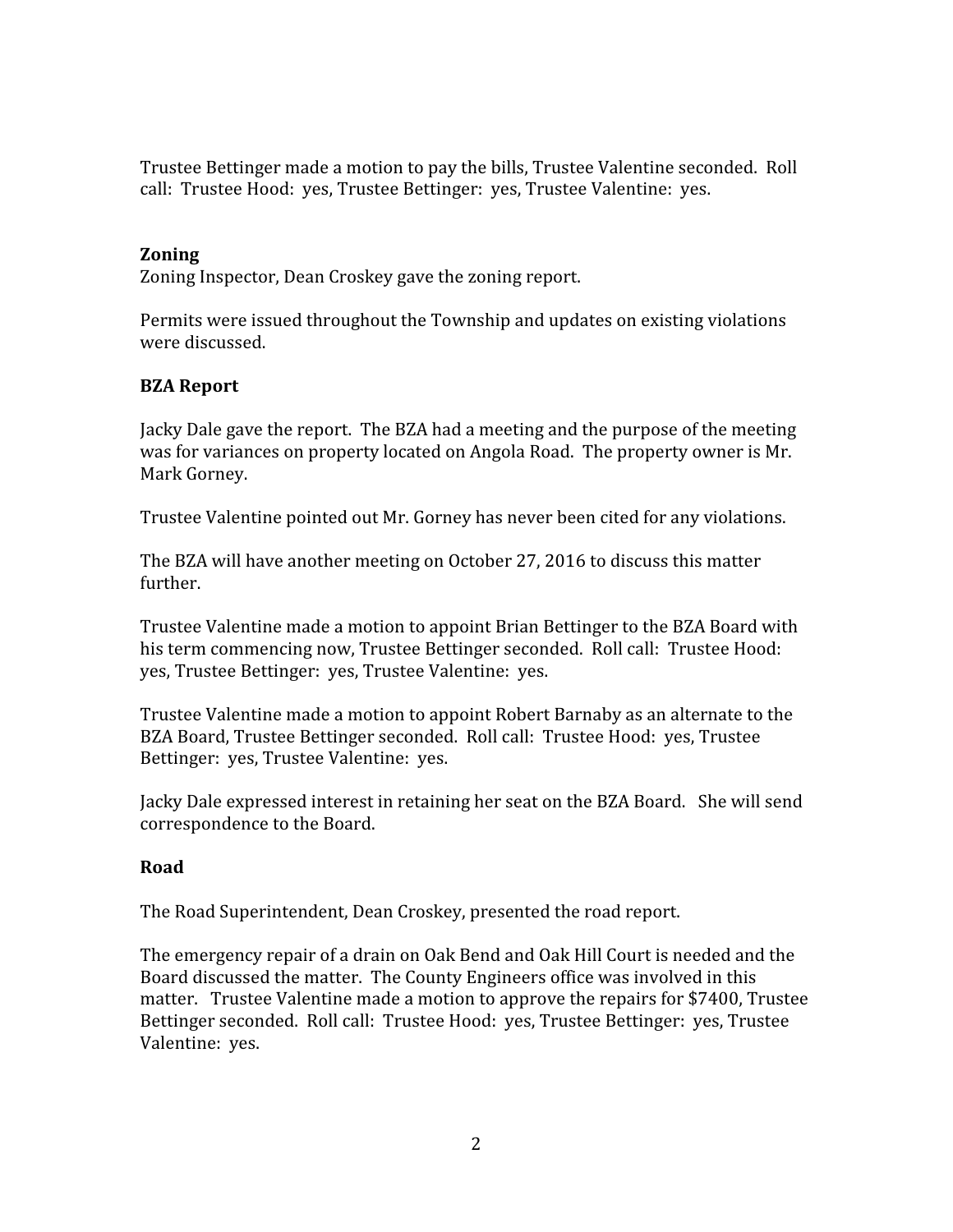Trustee Bettinger made a motion to pay the bills, Trustee Valentine seconded. Roll call: Trustee Hood: yes, Trustee Bettinger: yes, Trustee Valentine: yes.

#### Zoning

Zoning Inspector, Dean Croskey gave the zoning report.

Permits were issued throughout the Township and updates on existing violations were discussed.

## BZA Report

Jacky Dale gave the report. The BZA had a meeting and the purpose of the meeting was for variances on property located on Angola Road. The property owner is Mr. Mark Gorney.

Trustee Valentine pointed out Mr. Gorney has never been cited for any violations.

The BZA will have another meeting on October 27, 2016 to discuss this matter further.

Trustee Valentine made a motion to appoint Brian Bettinger to the BZA Board with his term commencing now, Trustee Bettinger seconded. Roll call: Trustee Hood: yes, Trustee Bettinger: yes, Trustee Valentine: yes.

Trustee Valentine made a motion to appoint Robert Barnaby as an alternate to the BZA Board, Trustee Bettinger seconded. Roll call: Trustee Hood: yes, Trustee Bettinger: yes, Trustee Valentine: yes.

Jacky Dale expressed interest in retaining her seat on the BZA Board. She will send correspondence to the Board.

#### Road

The Road Superintendent, Dean Croskey, presented the road report.

The emergency repair of a drain on Oak Bend and Oak Hill Court is needed and the Board discussed the matter. The County Engineers office was involved in this matter. Trustee Valentine made a motion to approve the repairs for \$7400, Trustee Bettinger seconded. Roll call: Trustee Hood: yes, Trustee Bettinger: yes, Trustee Valentine: yes.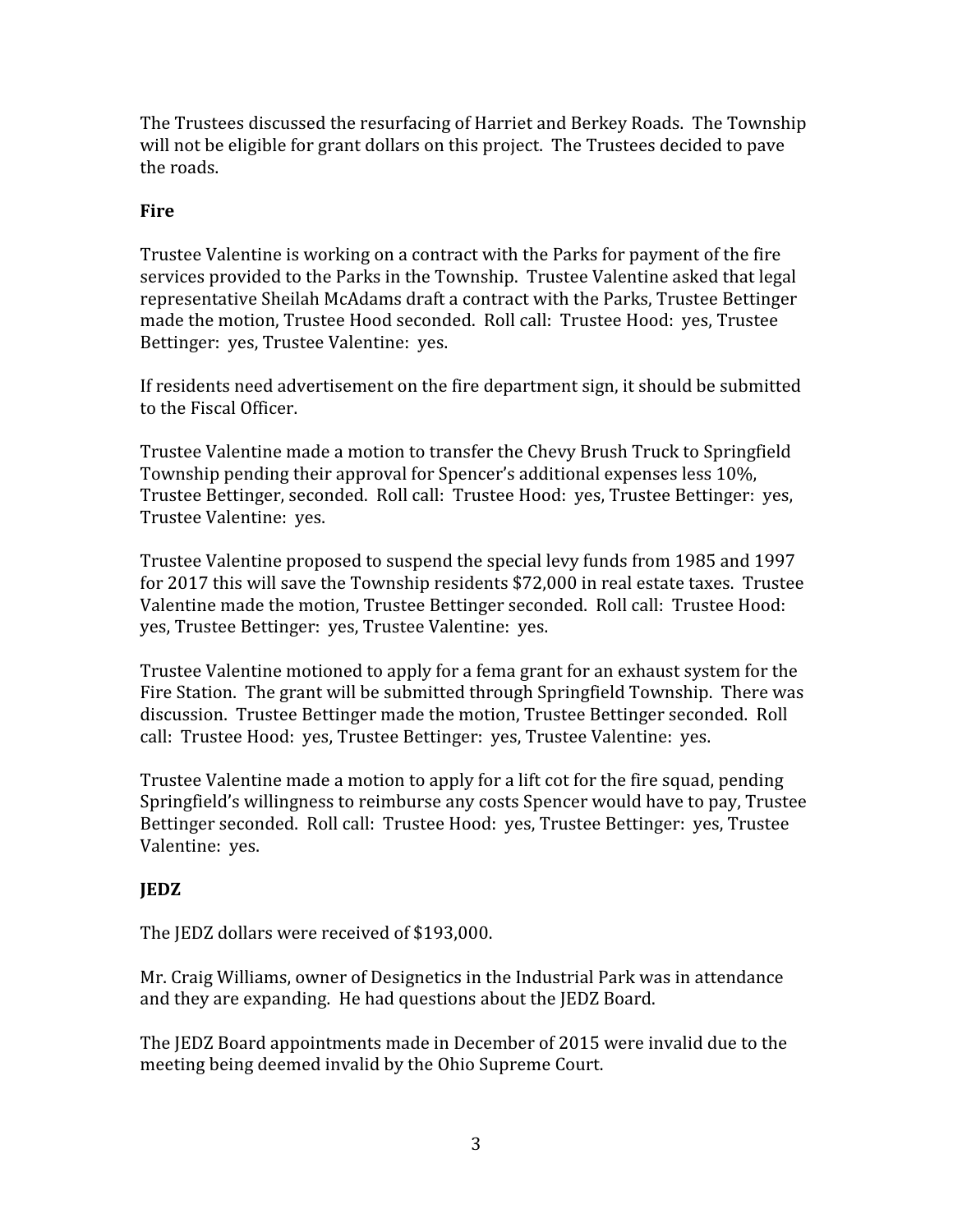The Trustees discussed the resurfacing of Harriet and Berkey Roads. The Township will not be eligible for grant dollars on this project. The Trustees decided to pave the roads.

## Fire

Trustee Valentine is working on a contract with the Parks for payment of the fire services provided to the Parks in the Township. Trustee Valentine asked that legal representative Sheilah McAdams draft a contract with the Parks, Trustee Bettinger made the motion, Trustee Hood seconded. Roll call: Trustee Hood: yes, Trustee Bettinger: yes, Trustee Valentine: yes.

If residents need advertisement on the fire department sign, it should be submitted to the Fiscal Officer.

Trustee Valentine made a motion to transfer the Chevy Brush Truck to Springfield Township pending their approval for Spencer's additional expenses less 10%, Trustee Bettinger, seconded. Roll call: Trustee Hood: yes, Trustee Bettinger: yes, Trustee Valentine: yes.

Trustee Valentine proposed to suspend the special levy funds from 1985 and 1997 for 2017 this will save the Township residents \$72,000 in real estate taxes. Trustee Valentine made the motion, Trustee Bettinger seconded. Roll call: Trustee Hood: yes, Trustee Bettinger: yes, Trustee Valentine: yes.

Trustee Valentine motioned to apply for a fema grant for an exhaust system for the Fire Station. The grant will be submitted through Springfield Township. There was discussion. Trustee Bettinger made the motion, Trustee Bettinger seconded. Roll call: Trustee Hood: yes, Trustee Bettinger: yes, Trustee Valentine: yes.

Trustee Valentine made a motion to apply for a lift cot for the fire squad, pending Springfield's willingness to reimburse any costs Spencer would have to pay, Trustee Bettinger seconded. Roll call: Trustee Hood: yes, Trustee Bettinger: yes, Trustee Valentine: yes.

# JEDZ

The JEDZ dollars were received of \$193,000.

Mr. Craig Williams, owner of Designetics in the Industrial Park was in attendance and they are expanding. He had questions about the JEDZ Board.

The JEDZ Board appointments made in December of 2015 were invalid due to the meeting being deemed invalid by the Ohio Supreme Court.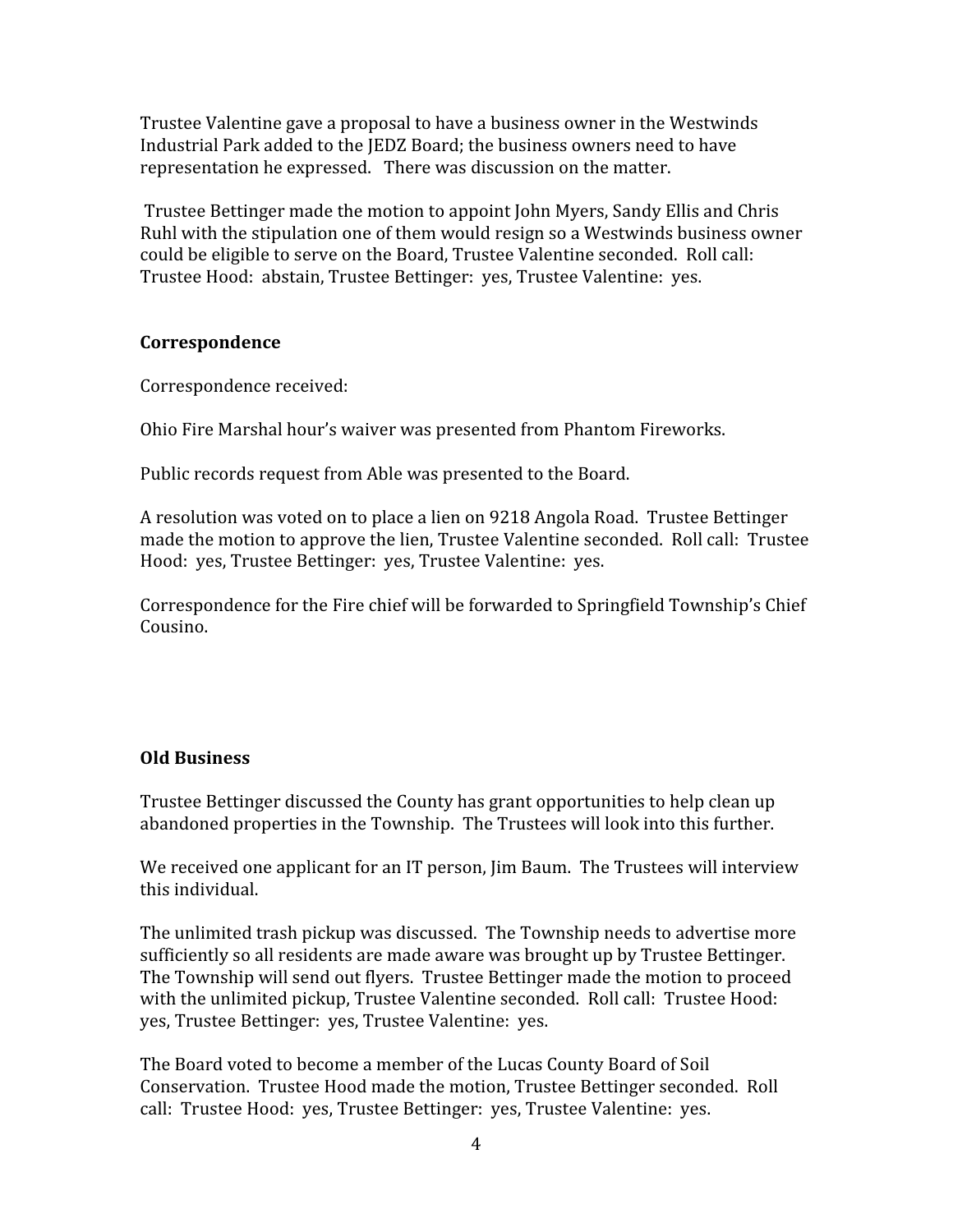Trustee Valentine gave a proposal to have a business owner in the Westwinds Industrial Park added to the JEDZ Board; the business owners need to have representation he expressed. There was discussion on the matter.

 Trustee Bettinger made the motion to appoint John Myers, Sandy Ellis and Chris Ruhl with the stipulation one of them would resign so a Westwinds business owner could be eligible to serve on the Board, Trustee Valentine seconded. Roll call: Trustee Hood: abstain, Trustee Bettinger: yes, Trustee Valentine: yes.

#### Correspondence

Correspondence received:

Ohio Fire Marshal hour's waiver was presented from Phantom Fireworks.

Public records request from Able was presented to the Board.

A resolution was voted on to place a lien on 9218 Angola Road. Trustee Bettinger made the motion to approve the lien, Trustee Valentine seconded. Roll call: Trustee Hood: yes, Trustee Bettinger: yes, Trustee Valentine: yes.

Correspondence for the Fire chief will be forwarded to Springfield Township's Chief Cousino.

#### Old Business

Trustee Bettinger discussed the County has grant opportunities to help clean up abandoned properties in the Township. The Trustees will look into this further.

We received one applicant for an IT person, Jim Baum. The Trustees will interview this individual.

The unlimited trash pickup was discussed. The Township needs to advertise more sufficiently so all residents are made aware was brought up by Trustee Bettinger. The Township will send out flyers. Trustee Bettinger made the motion to proceed with the unlimited pickup, Trustee Valentine seconded. Roll call: Trustee Hood: yes, Trustee Bettinger: yes, Trustee Valentine: yes.

The Board voted to become a member of the Lucas County Board of Soil Conservation. Trustee Hood made the motion, Trustee Bettinger seconded. Roll call: Trustee Hood: yes, Trustee Bettinger: yes, Trustee Valentine: yes.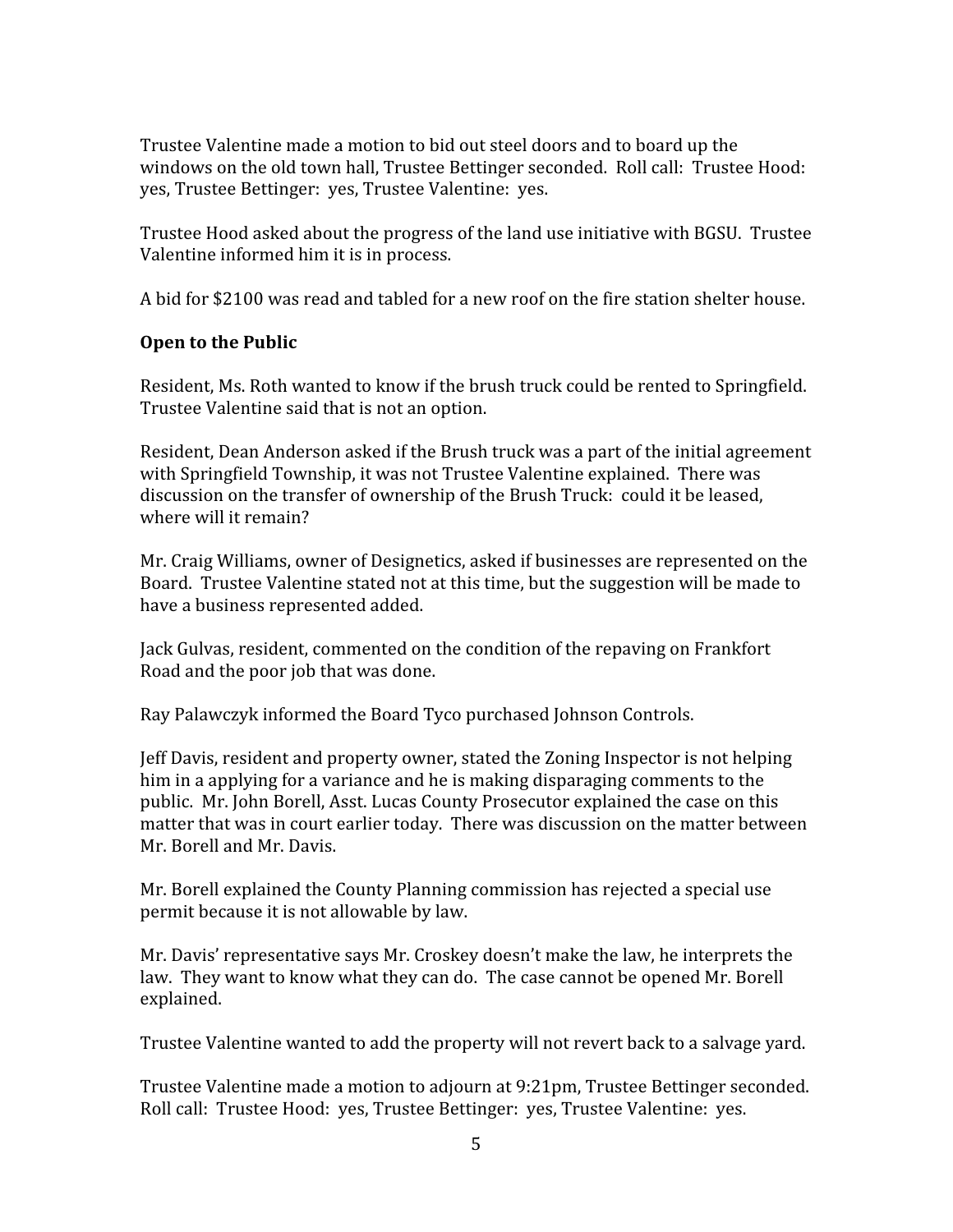Trustee Valentine made a motion to bid out steel doors and to board up the windows on the old town hall, Trustee Bettinger seconded. Roll call: Trustee Hood: yes, Trustee Bettinger: yes, Trustee Valentine: yes.

Trustee Hood asked about the progress of the land use initiative with BGSU. Trustee Valentine informed him it is in process.

A bid for \$2100 was read and tabled for a new roof on the fire station shelter house.

## Open to the Public

Resident, Ms. Roth wanted to know if the brush truck could be rented to Springfield. Trustee Valentine said that is not an option.

Resident, Dean Anderson asked if the Brush truck was a part of the initial agreement with Springfield Township, it was not Trustee Valentine explained. There was discussion on the transfer of ownership of the Brush Truck: could it be leased, where will it remain?

Mr. Craig Williams, owner of Designetics, asked if businesses are represented on the Board. Trustee Valentine stated not at this time, but the suggestion will be made to have a business represented added.

Jack Gulvas, resident, commented on the condition of the repaving on Frankfort Road and the poor job that was done.

Ray Palawczyk informed the Board Tyco purchased Johnson Controls.

Jeff Davis, resident and property owner, stated the Zoning Inspector is not helping him in a applying for a variance and he is making disparaging comments to the public. Mr. John Borell, Asst. Lucas County Prosecutor explained the case on this matter that was in court earlier today. There was discussion on the matter between Mr. Borell and Mr. Davis.

Mr. Borell explained the County Planning commission has rejected a special use permit because it is not allowable by law.

Mr. Davis' representative says Mr. Croskey doesn't make the law, he interprets the law. They want to know what they can do. The case cannot be opened Mr. Borell explained.

Trustee Valentine wanted to add the property will not revert back to a salvage yard.

Trustee Valentine made a motion to adjourn at 9:21pm, Trustee Bettinger seconded. Roll call: Trustee Hood: yes, Trustee Bettinger: yes, Trustee Valentine: yes.